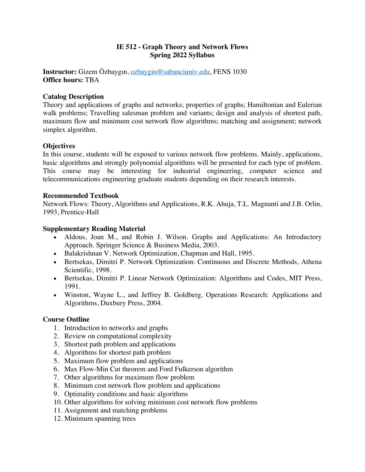# **IE 512 - Graph Theory and Network Flows Spring 2022 Syllabus**

**Instructor:** Gizem Özbaygın, ozbaygin@sabanciuniv.edu, FENS 1030 **Office hours:** TBA

## **Catalog Description**

Theory and applications of graphs and networks; properties of graphs; Hamiltonian and Eulerian walk problems; Travelling salesman problem and variants; design and analysis of shortest path, maximum flow and minimum cost network flow algorithms; matching and assignment; network simplex algorithm.

## **Objectives**

In this course, students will be exposed to various network flow problems. Mainly, applications, basic algorithms and strongly polynomial algorithms will be presented for each type of problem. This course may be interesting for industrial engineering, computer science and telecommunications engineering graduate students depending on their research interests.

### **Recommended Textbook**

Network Flows: Theory, Algorithms and Applications, R.K. Ahuja, T.L. Magnanti and J.B. Orlin, 1993, Prentice-Hall

### **Supplementary Reading Material**

- Aldous, Joan M., and Robin J. Wilson. Graphs and Applications: An Introductory Approach. Springer Science & Business Media, 2003.
- Balakrishnan V. Network Optimization, Chapman and Hall, 1995.
- Bertsekas, Dimitri P. Network Optimization: Continuous and Discrete Methods, Athena Scientific, 1998.
- Bertsekas, Dimitri P. Linear Network Optimization: Algorithms and Codes, MIT Press, 1991.
- Winston, Wayne L., and Jeffrey B. Goldberg. Operations Research: Applications and Algorithms, Duxbury Press, 2004.

### **Course Outline**

- 1. Introduction to networks and graphs
- 2. Review on computational complexity
- 3. Shortest path problem and applications
- 4. Algorithms for shortest path problem
- 5. Maximum flow problem and applications
- 6. Max Flow-Min Cut theorem and Ford Fulkerson algorithm
- 7. Other algorithms for maximum flow problem
- 8. Minimum cost network flow problem and applications
- 9. Optimality conditions and basic algorithms
- 10. Other algorithms for solving minimum cost network flow problems
- 11. Assignment and matching problems
- 12. Minimum spanning trees